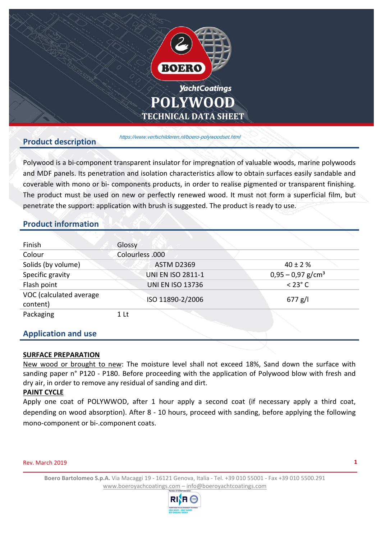

#### **Product description**

<https://www.verfschilderen.nl/boero-polywoodset.html>

Polywood is a bi-component transparent insulator for impregnation of valuable woods, marine polywoods and MDF panels. Its penetration and isolation characteristics allow to obtain surfaces easily sandable and coverable with mono or bi- components products, in order to realise pigmented or transparent finishing. The product must be used on new or perfectly renewed wood. It must not form a superficial film, but penetrate the support: application with brush is suggested. The product is ready to use.

# **Product information**

| Finish                              | Glossy                   |                                 |
|-------------------------------------|--------------------------|---------------------------------|
| Colour                              | Colourless .000          |                                 |
| Solids (by volume)                  | <b>ASTM D2369</b>        | $40 \pm 2 \%$                   |
| Specific gravity                    | <b>UNI EN ISO 2811-1</b> | $0,95 - 0,97$ g/cm <sup>3</sup> |
| Flash point                         | <b>UNI EN ISO 13736</b>  | $<$ 23 $^{\circ}$ C             |
| VOC (calculated average<br>content) | ISO 11890-2/2006         | $677$ g/l                       |
| Packaging                           | 1 <sup>l</sup>           |                                 |

### **Application and use**

#### **SURFACE PREPARATION**

New wood or brought to new: The moisture level shall not exceed 18%, Sand down the surface with sanding paper n° P120 - P180. Before proceeding with the application of Polywood blow with fresh and dry air, in order to remove any residual of sanding and dirt.

#### **PAINT CYCLE**

Apply one coat of POLYWWOD, after 1 hour apply a second coat (if necessary apply a third coat, depending on wood absorption). After 8 - 10 hours, proceed with sanding, before applying the following mono-component or bi-.component coats.

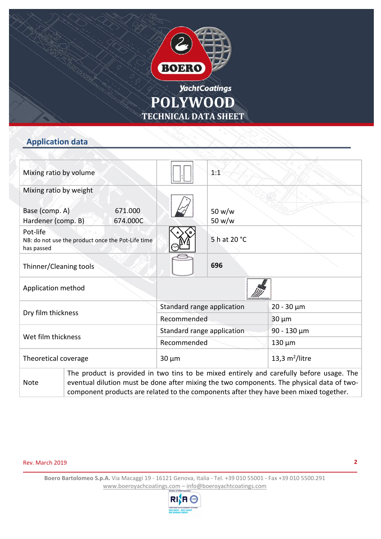



# **Application data**

| Mixing ratio by volume               |  |                                                   |  | 1:1              |                                                                                                                                                                                                                                                                                |
|--------------------------------------|--|---------------------------------------------------|--|------------------|--------------------------------------------------------------------------------------------------------------------------------------------------------------------------------------------------------------------------------------------------------------------------------|
| Mixing ratio by weight               |  |                                                   |  |                  |                                                                                                                                                                                                                                                                                |
| Base (comp. A)<br>Hardener (comp. B) |  | 671.000<br>674.000C                               |  | 50 w/w<br>50 w/w |                                                                                                                                                                                                                                                                                |
| Pot-life<br>has passed               |  | NB: do not use the product once the Pot-Life time |  | 5 h at 20 °C     |                                                                                                                                                                                                                                                                                |
| Thinner/Cleaning tools               |  |                                                   |  | 696              |                                                                                                                                                                                                                                                                                |
| Application method                   |  |                                                   |  |                  |                                                                                                                                                                                                                                                                                |
| Dry film thickness                   |  | Standard range application                        |  | $20 - 30 \mu m$  |                                                                                                                                                                                                                                                                                |
|                                      |  | Recommended                                       |  | $30 \mu m$       |                                                                                                                                                                                                                                                                                |
| Wet film thickness                   |  | Standard range application                        |  | 90 - 130 $\mu$ m |                                                                                                                                                                                                                                                                                |
|                                      |  | Recommended                                       |  | $130 \mu m$      |                                                                                                                                                                                                                                                                                |
| Theoretical coverage                 |  | $30 \mu m$                                        |  | 13,3 $m2/litre$  |                                                                                                                                                                                                                                                                                |
| <b>Note</b>                          |  |                                                   |  |                  | The product is provided in two tins to be mixed entirely and carefully before usage. The<br>eventual dilution must be done after mixing the two components. The physical data of two-<br>component products are related to the components after they have been mixed together. |

#### Rev. March 2019

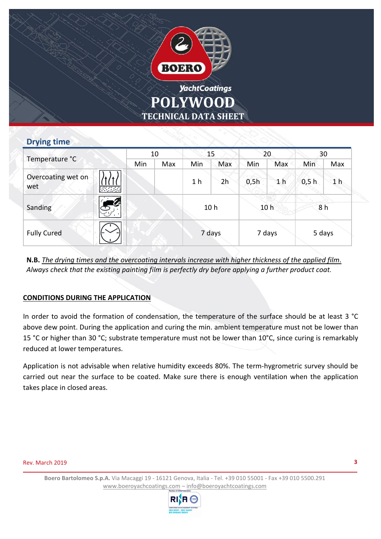

## **Drying time**

| Temperature °C            |               | 10  |                 | 15             |                 | 20     |                | 30     |                |  |
|---------------------------|---------------|-----|-----------------|----------------|-----------------|--------|----------------|--------|----------------|--|
|                           |               | Min | Max             | Min            | Max             | Min    | Max            | Min    | Max            |  |
| Overcoating wet on<br>wet | <b>August</b> |     |                 | 1 <sub>h</sub> | 2h              | 0,5h   | 1 <sub>h</sub> | 0,5 h  | 1 <sub>h</sub> |  |
| Sanding                   | $\mathbb{S}$  |     | 10 <sub>h</sub> |                | 10 <sub>h</sub> |        | 8 h            |        |                |  |
| <b>Fully Cured</b>        |               |     |                 | 7 days         |                 | 7 days |                | 5 days |                |  |

**N.B.** *The drying times and the overcoating intervals increase with higher thickness of the applied film*. *Always check that the existing painting film is perfectly dry before applying a further product coat.* 

### **CONDITIONS DURING THE APPLICATION**

In order to avoid the formation of condensation, the temperature of the surface should be at least 3 °C above dew point. During the application and curing the min. ambient temperature must not be lower than 15 °C or higher than 30 °C; substrate temperature must not be lower than 10°C, since curing is remarkably reduced at lower temperatures.

Application is not advisable when relative humidity exceeds 80%. The term-hygrometric survey should be carried out near the surface to be coated. Make sure there is enough ventilation when the application takes place in closed areas.

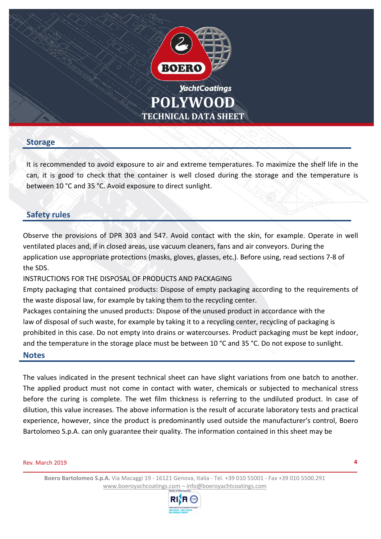

### **Storage**

It is recommended to avoid exposure to air and extreme temperatures. To maximize the shelf life in the can, it is good to check that the container is well closed during the storage and the temperature is between 10 °C and 35 °C. Avoid exposure to direct sunlight.

# **Safety rules**

Observe the provisions of DPR 303 and 547. Avoid contact with the skin, for example. Operate in well ventilated places and, if in closed areas, use vacuum cleaners, fans and air conveyors. During the application use appropriate protections (masks, gloves, glasses, etc.). Before using, read sections 7-8 of the SDS.

INSTRUCTIONS FOR THE DISPOSAL OF PRODUCTS AND PACKAGING

Empty packaging that contained products: Dispose of empty packaging according to the requirements of the waste disposal law, for example by taking them to the recycling center.

Packages containing the unused products: Dispose of the unused product in accordance with the law of disposal of such waste, for example by taking it to a recycling center, recycling of packaging is prohibited in this case. Do not empty into drains or watercourses. Product packaging must be kept indoor, and the temperature in the storage place must be between 10 °C and 35 °C. Do not expose to sunlight.

#### **Notes**

The values indicated in the present technical sheet can have slight variations from one batch to another. The applied product must not come in contact with water, chemicals or subjected to mechanical stress before the curing is complete. The wet film thickness is referring to the undiluted product. In case of dilution, this value increases. The above information is the result of accurate laboratory tests and practical experience, however, since the product is predominantly used outside the manufacturer's control, Boero Bartolomeo S.p.A. can only guarantee their quality. The information contained in this sheet may be

#### Rev. March 2019

**4**